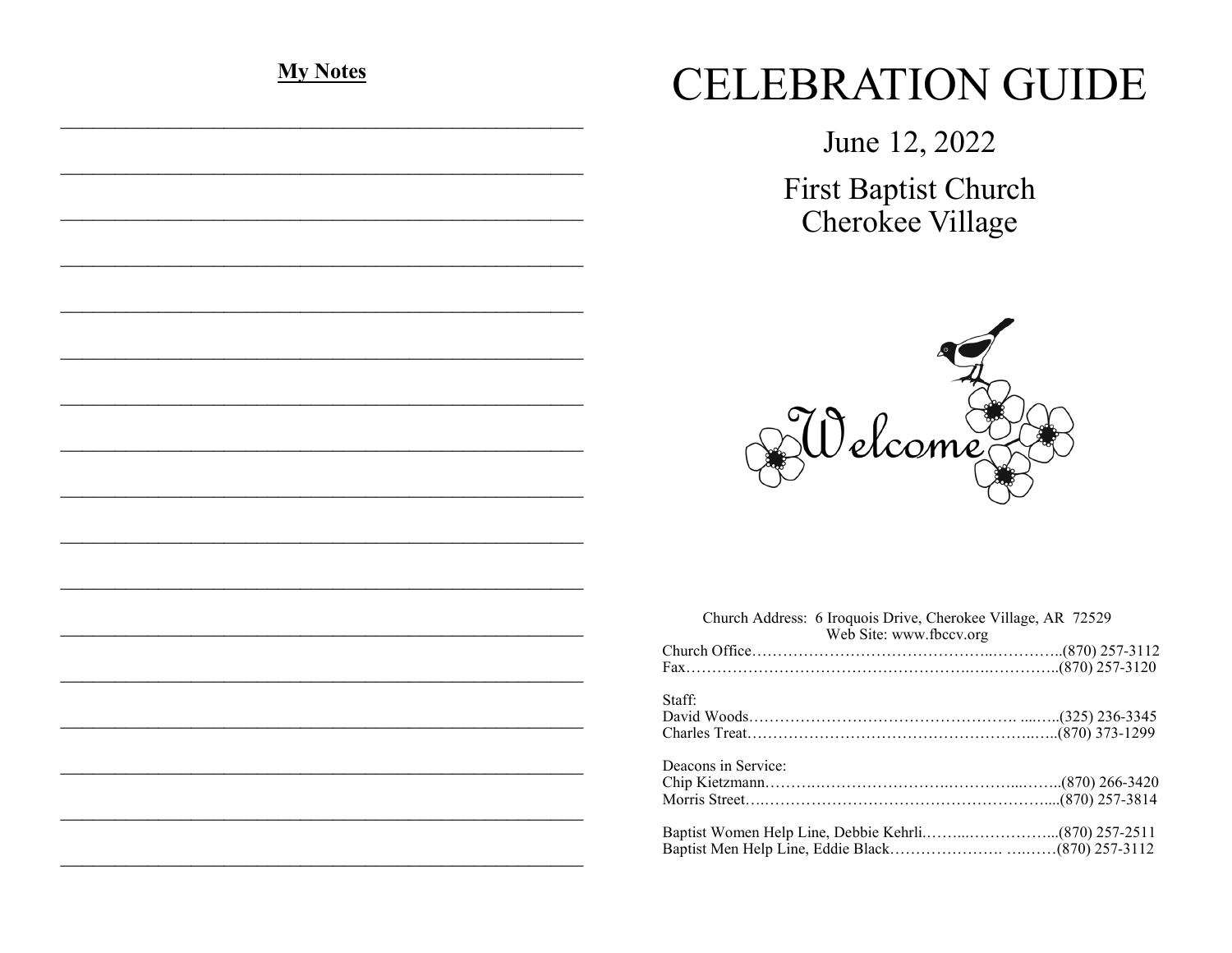| <b>My Notes</b> |  |  |
|-----------------|--|--|
|                 |  |  |
|                 |  |  |
|                 |  |  |
|                 |  |  |
|                 |  |  |
|                 |  |  |
|                 |  |  |
|                 |  |  |
|                 |  |  |
|                 |  |  |
|                 |  |  |
|                 |  |  |
|                 |  |  |
|                 |  |  |
|                 |  |  |
|                 |  |  |
|                 |  |  |
|                 |  |  |
|                 |  |  |
|                 |  |  |
|                 |  |  |
|                 |  |  |
|                 |  |  |
|                 |  |  |
|                 |  |  |
|                 |  |  |

## **CELEBRATION GUIDE**

June 12, 2022 First Baptist Church Cherokee Village



|                     | Church Address: 6 Iroquois Drive, Cherokee Village, AR 72529<br>Web Site: www.fbccv.org |  |
|---------------------|-----------------------------------------------------------------------------------------|--|
|                     |                                                                                         |  |
|                     |                                                                                         |  |
| Staff:              |                                                                                         |  |
| Deacons in Service: |                                                                                         |  |
|                     |                                                                                         |  |
|                     |                                                                                         |  |
|                     |                                                                                         |  |